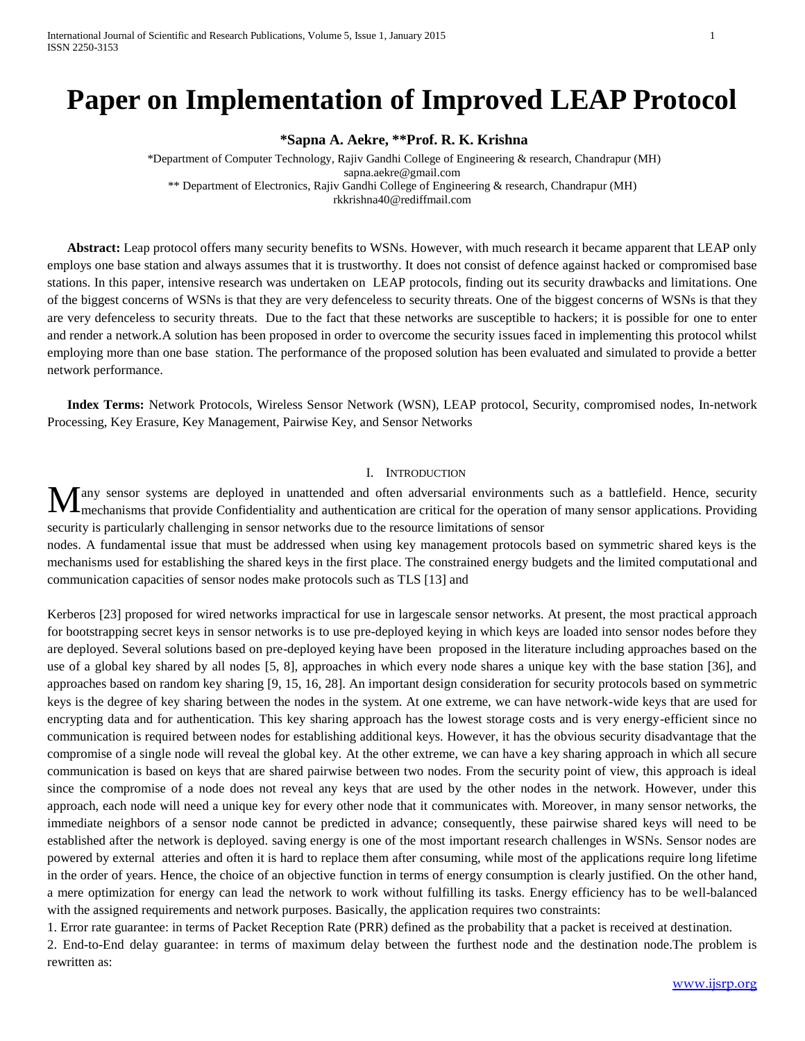# **Paper on Implementation of Improved LEAP Protocol**

**\*Sapna A. Aekre, \*\*Prof. R. K. Krishna** 

\*Department of Computer Technology, Rajiv Gandhi College of Engineering & research, Chandrapur (MH) [sapna.aekre@gmail.com](mailto:sapna.aekre@gmail.com) \*\* Department of Electronics, Rajiv Gandhi College of Engineering & research, Chandrapur (MH) rkkrishna40@rediffmail.com

 **Abstract:** Leap protocol offers many security benefits to WSNs. However, with much research it became apparent that LEAP only employs one base station and always assumes that it is trustworthy. It does not consist of defence against hacked or compromised base stations. In this paper, intensive research was undertaken on LEAP protocols, finding out its security drawbacks and limitations. One of the biggest concerns of WSNs is that they are very defenceless to security threats. One of the biggest concerns of WSNs is that they are very defenceless to security threats. Due to the fact that these networks are susceptible to hackers; it is possible for one to enter and render a network.A solution has been proposed in order to overcome the security issues faced in implementing this protocol whilst employing more than one base station. The performance of the proposed solution has been evaluated and simulated to provide a better network performance.

 **Index Terms:** Network Protocols, Wireless Sensor Network (WSN), LEAP protocol, Security, compromised nodes, In-network Processing, Key Erasure, Key Management, Pairwise Key, and Sensor Networks

#### I. INTRODUCTION

any sensor systems are deployed in unattended and often adversarial environments such as a battlefield. Hence, security Many sensor systems are deployed in unattended and often adversarial environments such as a battlefield. Hence, security mechanisms that provide Confidentiality and authentication are critical for the operation of many sen security is particularly challenging in sensor networks due to the resource limitations of sensor

nodes. A fundamental issue that must be addressed when using key management protocols based on symmetric shared keys is the mechanisms used for establishing the shared keys in the first place. The constrained energy budgets and the limited computational and communication capacities of sensor nodes make protocols such as TLS [13] and

Kerberos [23] proposed for wired networks impractical for use in largescale sensor networks. At present, the most practical approach for bootstrapping secret keys in sensor networks is to use pre-deployed keying in which keys are loaded into sensor nodes before they are deployed. Several solutions based on pre-deployed keying have been proposed in the literature including approaches based on the use of a global key shared by all nodes [5, 8], approaches in which every node shares a unique key with the base station [36], and approaches based on random key sharing [9, 15, 16, 28]. An important design consideration for security protocols based on symmetric keys is the degree of key sharing between the nodes in the system. At one extreme, we can have network-wide keys that are used for encrypting data and for authentication. This key sharing approach has the lowest storage costs and is very energy-efficient since no communication is required between nodes for establishing additional keys. However, it has the obvious security disadvantage that the compromise of a single node will reveal the global key. At the other extreme, we can have a key sharing approach in which all secure communication is based on keys that are shared pairwise between two nodes. From the security point of view, this approach is ideal since the compromise of a node does not reveal any keys that are used by the other nodes in the network. However, under this approach, each node will need a unique key for every other node that it communicates with. Moreover, in many sensor networks, the immediate neighbors of a sensor node cannot be predicted in advance; consequently, these pairwise shared keys will need to be established after the network is deployed. saving energy is one of the most important research challenges in WSNs. Sensor nodes are powered by external atteries and often it is hard to replace them after consuming, while most of the applications require long lifetime in the order of years. Hence, the choice of an objective function in terms of energy consumption is clearly justified. On the other hand, a mere optimization for energy can lead the network to work without fulfilling its tasks. Energy efficiency has to be well-balanced with the assigned requirements and network purposes. Basically, the application requires two constraints:

1. Error rate guarantee: in terms of Packet Reception Rate (PRR) defined as the probability that a packet is received at destination.

2. End-to-End delay guarantee: in terms of maximum delay between the furthest node and the destination node.The problem is rewritten as: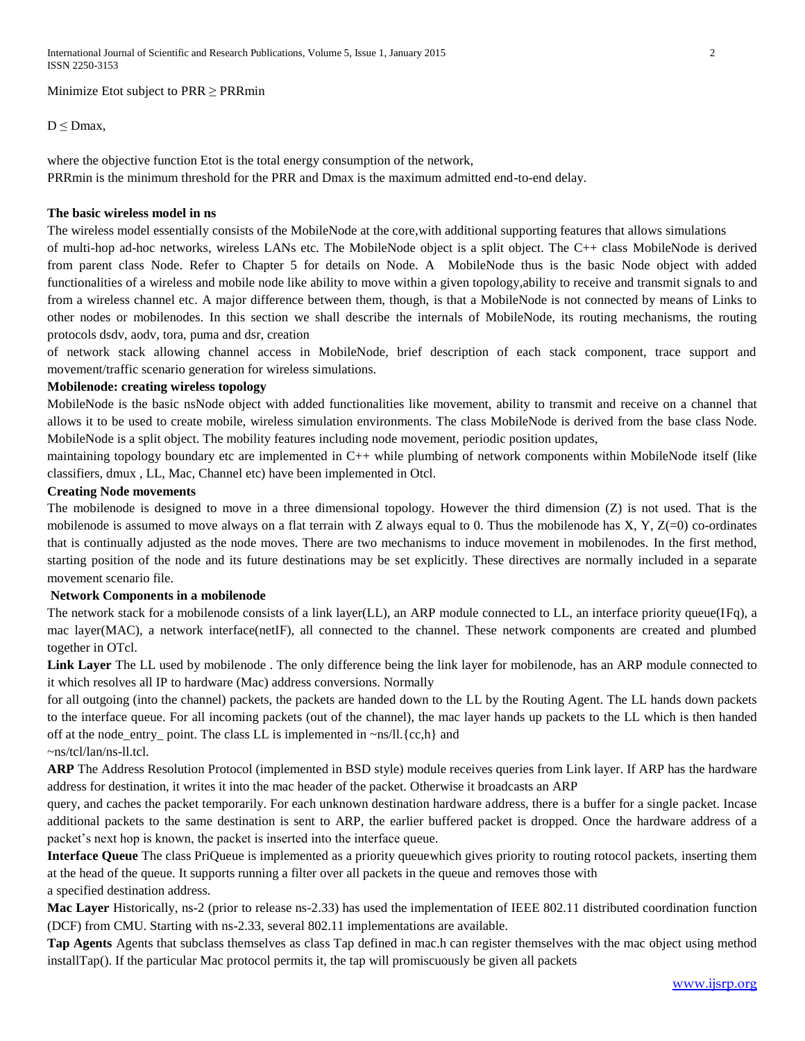Minimize Etot subject to PRR ≥ PRRmin

 $D <$ Dmax.

where the objective function Etot is the total energy consumption of the network, PRRmin is the minimum threshold for the PRR and Dmax is the maximum admitted end-to-end delay.

# **The basic wireless model in ns**

The wireless model essentially consists of the MobileNode at the core,with additional supporting features that allows simulations

of multi-hop ad-hoc networks, wireless LANs etc. The MobileNode object is a split object. The C++ class MobileNode is derived from parent class Node. Refer to Chapter 5 for details on Node. A MobileNode thus is the basic Node object with added functionalities of a wireless and mobile node like ability to move within a given topology,ability to receive and transmit signals to and from a wireless channel etc. A major difference between them, though, is that a MobileNode is not connected by means of Links to other nodes or mobilenodes. In this section we shall describe the internals of MobileNode, its routing mechanisms, the routing protocols dsdv, aodv, tora, puma and dsr, creation

of network stack allowing channel access in MobileNode, brief description of each stack component, trace support and movement/traffic scenario generation for wireless simulations.

#### **Mobilenode: creating wireless topology**

MobileNode is the basic nsNode object with added functionalities like movement, ability to transmit and receive on a channel that allows it to be used to create mobile, wireless simulation environments. The class MobileNode is derived from the base class Node. MobileNode is a split object. The mobility features including node movement, periodic position updates,

maintaining topology boundary etc are implemented in C++ while plumbing of network components within MobileNode itself (like classifiers, dmux , LL, Mac, Channel etc) have been implemented in Otcl.

#### **Creating Node movements**

The mobilenode is designed to move in a three dimensional topology. However the third dimension (Z) is not used. That is the mobilenode is assumed to move always on a flat terrain with Z always equal to 0. Thus the mobilenode has X, Y,  $Z(=0)$  co-ordinates that is continually adjusted as the node moves. There are two mechanisms to induce movement in mobilenodes. In the first method, starting position of the node and its future destinations may be set explicitly. These directives are normally included in a separate movement scenario file.

#### **Network Components in a mobilenode**

The network stack for a mobilenode consists of a link layer(LL), an ARP module connected to LL, an interface priority queue(IFq), a mac layer(MAC), a network interface(netIF), all connected to the channel. These network components are created and plumbed together in OTcl.

**Link Layer** The LL used by mobilenode . The only difference being the link layer for mobilenode, has an ARP module connected to it which resolves all IP to hardware (Mac) address conversions. Normally

for all outgoing (into the channel) packets, the packets are handed down to the LL by the Routing Agent. The LL hands down packets to the interface queue. For all incoming packets (out of the channel), the mac layer hands up packets to the LL which is then handed off at the node\_entry\_point. The class LL is implemented in  $\sim$ ns/ll.{cc,h} and ~ns/tcl/lan/ns-ll.tcl.

**ARP** The Address Resolution Protocol (implemented in BSD style) module receives queries from Link layer. If ARP has the hardware address for destination, it writes it into the mac header of the packet. Otherwise it broadcasts an ARP

query, and caches the packet temporarily. For each unknown destination hardware address, there is a buffer for a single packet. Incase additional packets to the same destination is sent to ARP, the earlier buffered packet is dropped. Once the hardware address of a packet's next hop is known, the packet is inserted into the interface queue.

**Interface Queue** The class PriQueue is implemented as a priority queuewhich gives priority to routing rotocol packets, inserting them at the head of the queue. It supports running a filter over all packets in the queue and removes those with

a specified destination address.

**Mac Layer** Historically, ns-2 (prior to release ns-2.33) has used the implementation of IEEE 802.11 distributed coordination function (DCF) from CMU. Starting with ns-2.33, several 802.11 implementations are available.

**Tap Agents** Agents that subclass themselves as class Tap defined in mac.h can register themselves with the mac object using method installTap(). If the particular Mac protocol permits it, the tap will promiscuously be given all packets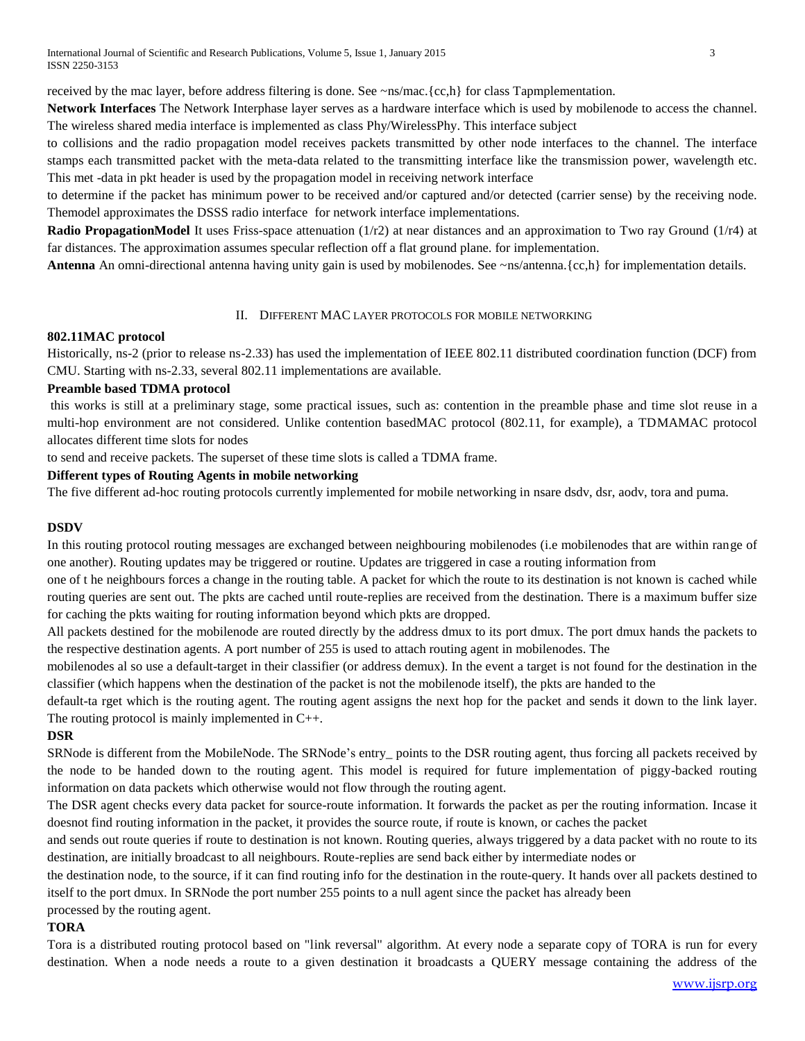International Journal of Scientific and Research Publications, Volume 5, Issue 1, January 2015 3 ISSN 2250-3153

received by the mac layer, before address filtering is done. See ~ns/mac.{cc,h} for class Tapmplementation.

**Network Interfaces** The Network Interphase layer serves as a hardware interface which is used by mobilenode to access the channel. The wireless shared media interface is implemented as class Phy/WirelessPhy. This interface subject

to collisions and the radio propagation model receives packets transmitted by other node interfaces to the channel. The interface stamps each transmitted packet with the meta-data related to the transmitting interface like the transmission power, wavelength etc. This met -data in pkt header is used by the propagation model in receiving network interface

to determine if the packet has minimum power to be received and/or captured and/or detected (carrier sense) by the receiving node. Themodel approximates the DSSS radio interface for network interface implementations.

**Radio PropagationModel** It uses Friss-space attenuation (1/r2) at near distances and an approximation to Two ray Ground (1/r4) at far distances. The approximation assumes specular reflection off a flat ground plane. for implementation.

**Antenna** An omni-directional antenna having unity gain is used by mobilenodes. See ~ns/antenna.{cc,h} for implementation details.

## II. DIFFERENT MAC LAYER PROTOCOLS FOR MOBILE NETWORKING

## **802.11MAC protocol**

Historically, ns-2 (prior to release ns-2.33) has used the implementation of IEEE 802.11 distributed coordination function (DCF) from CMU. Starting with ns-2.33, several 802.11 implementations are available.

## **Preamble based TDMA protocol**

this works is still at a preliminary stage, some practical issues, such as: contention in the preamble phase and time slot reuse in a multi-hop environment are not considered. Unlike contention basedMAC protocol (802.11, for example), a TDMAMAC protocol allocates different time slots for nodes

to send and receive packets. The superset of these time slots is called a TDMA frame.

# **Different types of Routing Agents in mobile networking**

The five different ad-hoc routing protocols currently implemented for mobile networking in nsare dsdv, dsr, aodv, tora and puma.

### **DSDV**

In this routing protocol routing messages are exchanged between neighbouring mobilenodes (i.e mobilenodes that are within range of one another). Routing updates may be triggered or routine. Updates are triggered in case a routing information from

one of t he neighbours forces a change in the routing table. A packet for which the route to its destination is not known is cached while routing queries are sent out. The pkts are cached until route-replies are received from the destination. There is a maximum buffer size for caching the pkts waiting for routing information beyond which pkts are dropped.

All packets destined for the mobilenode are routed directly by the address dmux to its port dmux. The port dmux hands the packets to the respective destination agents. A port number of 255 is used to attach routing agent in mobilenodes. The

mobilenodes al so use a default-target in their classifier (or address demux). In the event a target is not found for the destination in the classifier (which happens when the destination of the packet is not the mobilenode itself), the pkts are handed to the

default-ta rget which is the routing agent. The routing agent assigns the next hop for the packet and sends it down to the link layer. The routing protocol is mainly implemented in C++.

# **DSR**

SRNode is different from the MobileNode. The SRNode's entry\_ points to the DSR routing agent, thus forcing all packets received by the node to be handed down to the routing agent. This model is required for future implementation of piggy-backed routing information on data packets which otherwise would not flow through the routing agent.

The DSR agent checks every data packet for source-route information. It forwards the packet as per the routing information. Incase it doesnot find routing information in the packet, it provides the source route, if route is known, or caches the packet

and sends out route queries if route to destination is not known. Routing queries, always triggered by a data packet with no route to its destination, are initially broadcast to all neighbours. Route-replies are send back either by intermediate nodes or

the destination node, to the source, if it can find routing info for the destination in the route-query. It hands over all packets destined to itself to the port dmux. In SRNode the port number 255 points to a null agent since the packet has already been processed by the routing agent.

# **TORA**

Tora is a distributed routing protocol based on "link reversal" algorithm. At every node a separate copy of TORA is run for every destination. When a node needs a route to a given destination it broadcasts a QUERY message containing the address of the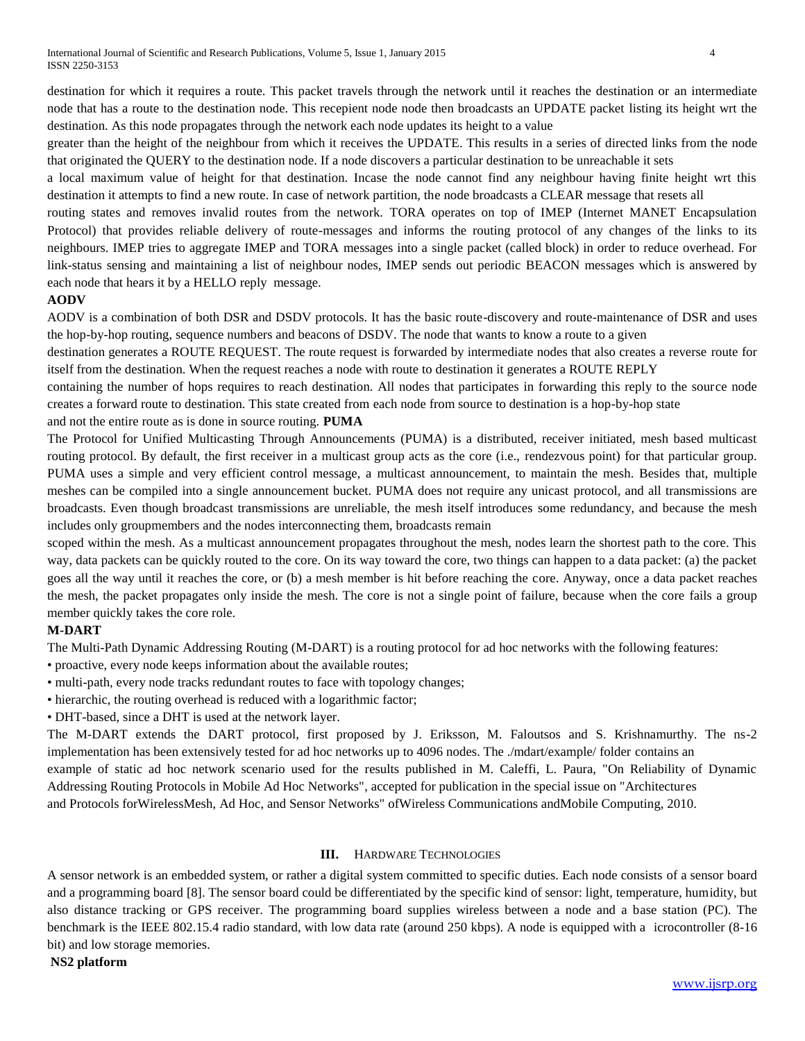destination for which it requires a route. This packet travels through the network until it reaches the destination or an intermediate node that has a route to the destination node. This recepient node node then broadcasts an UPDATE packet listing its height wrt the destination. As this node propagates through the network each node updates its height to a value

greater than the height of the neighbour from which it receives the UPDATE. This results in a series of directed links from the node that originated the QUERY to the destination node. If a node discovers a particular destination to be unreachable it sets

a local maximum value of height for that destination. Incase the node cannot find any neighbour having finite height wrt this destination it attempts to find a new route. In case of network partition, the node broadcasts a CLEAR message that resets all

routing states and removes invalid routes from the network. TORA operates on top of IMEP (Internet MANET Encapsulation Protocol) that provides reliable delivery of route-messages and informs the routing protocol of any changes of the links to its neighbours. IMEP tries to aggregate IMEP and TORA messages into a single packet (called block) in order to reduce overhead. For link-status sensing and maintaining a list of neighbour nodes, IMEP sends out periodic BEACON messages which is answered by each node that hears it by a HELLO reply message.

# **AODV**

AODV is a combination of both DSR and DSDV protocols. It has the basic route-discovery and route-maintenance of DSR and uses the hop-by-hop routing, sequence numbers and beacons of DSDV. The node that wants to know a route to a given

destination generates a ROUTE REQUEST. The route request is forwarded by intermediate nodes that also creates a reverse route for itself from the destination. When the request reaches a node with route to destination it generates a ROUTE REPLY

containing the number of hops requires to reach destination. All nodes that participates in forwarding this reply to the source node creates a forward route to destination. This state created from each node from source to destination is a hop-by-hop state

### and not the entire route as is done in source routing. **PUMA**

The Protocol for Unified Multicasting Through Announcements (PUMA) is a distributed, receiver initiated, mesh based multicast routing protocol. By default, the first receiver in a multicast group acts as the core (i.e., rendezvous point) for that particular group. PUMA uses a simple and very efficient control message, a multicast announcement, to maintain the mesh. Besides that, multiple meshes can be compiled into a single announcement bucket. PUMA does not require any unicast protocol, and all transmissions are broadcasts. Even though broadcast transmissions are unreliable, the mesh itself introduces some redundancy, and because the mesh includes only groupmembers and the nodes interconnecting them, broadcasts remain

scoped within the mesh. As a multicast announcement propagates throughout the mesh, nodes learn the shortest path to the core. This way, data packets can be quickly routed to the core. On its way toward the core, two things can happen to a data packet: (a) the packet goes all the way until it reaches the core, or (b) a mesh member is hit before reaching the core. Anyway, once a data packet reaches the mesh, the packet propagates only inside the mesh. The core is not a single point of failure, because when the core fails a group member quickly takes the core role.

# **M-DART**

The Multi-Path Dynamic Addressing Routing (M-DART) is a routing protocol for ad hoc networks with the following features:

- proactive, every node keeps information about the available routes;
- multi-path, every node tracks redundant routes to face with topology changes;
- hierarchic, the routing overhead is reduced with a logarithmic factor;

• DHT-based, since a DHT is used at the network layer.

The M-DART extends the DART protocol, first proposed by J. Eriksson, M. Faloutsos and S. Krishnamurthy. The ns-2 implementation has been extensively tested for ad hoc networks up to 4096 nodes. The ./mdart/example/ folder contains an example of static ad hoc network scenario used for the results published in M. Caleffi, L. Paura, "On Reliability of Dynamic Addressing Routing Protocols in Mobile Ad Hoc Networks", accepted for publication in the special issue on "Architectures and Protocols forWirelessMesh, Ad Hoc, and Sensor Networks" ofWireless Communications andMobile Computing, 2010.

# **III.** HARDWARE TECHNOLOGIES

A sensor network is an embedded system, or rather a digital system committed to specific duties. Each node consists of a sensor board and a programming board [8]. The sensor board could be differentiated by the specific kind of sensor: light, temperature, humidity, but also distance tracking or GPS receiver. The programming board supplies wireless between a node and a base station (PC). The benchmark is the IEEE 802.15.4 radio standard, with low data rate (around 250 kbps). A node is equipped with a icrocontroller (8-16 bit) and low storage memories.

**NS2 platform**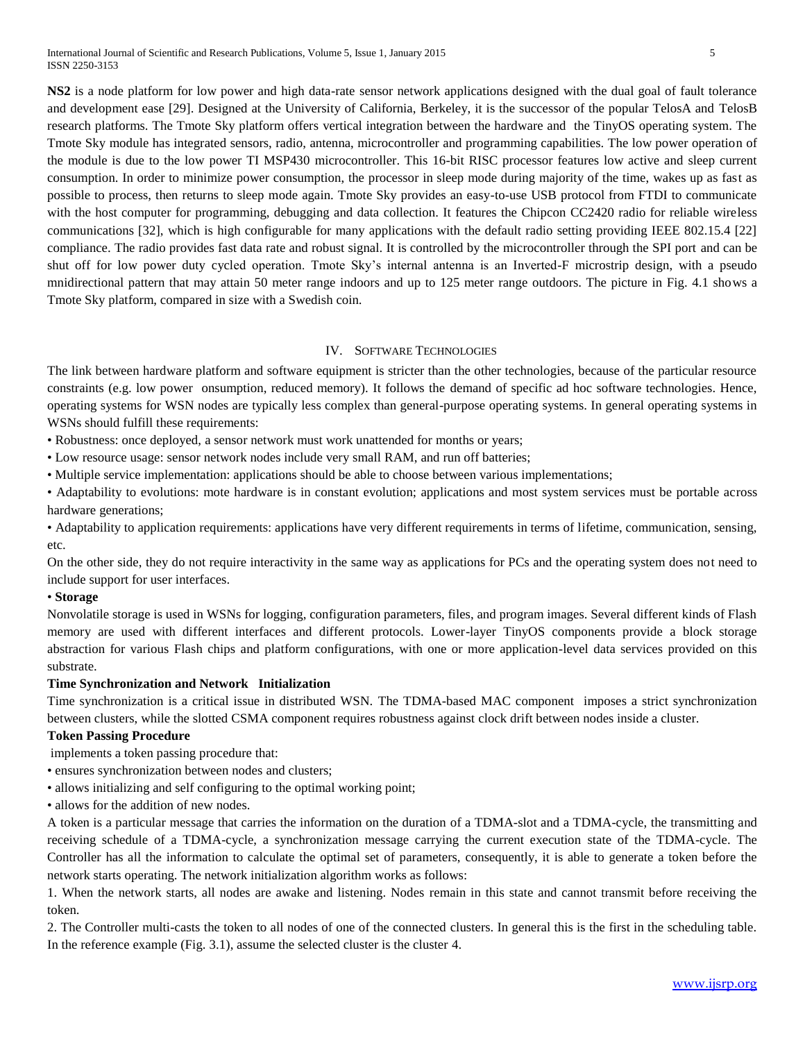International Journal of Scientific and Research Publications, Volume 5, Issue 1, January 2015 5 ISSN 2250-3153

**NS2** is a node platform for low power and high data-rate sensor network applications designed with the dual goal of fault tolerance and development ease [29]. Designed at the University of California, Berkeley, it is the successor of the popular TelosA and TelosB research platforms. The Tmote Sky platform offers vertical integration between the hardware and the TinyOS operating system. The Tmote Sky module has integrated sensors, radio, antenna, microcontroller and programming capabilities. The low power operation of the module is due to the low power TI MSP430 microcontroller. This 16-bit RISC processor features low active and sleep current consumption. In order to minimize power consumption, the processor in sleep mode during majority of the time, wakes up as fast as possible to process, then returns to sleep mode again. Tmote Sky provides an easy-to-use USB protocol from FTDI to communicate with the host computer for programming, debugging and data collection. It features the Chipcon CC2420 radio for reliable wireless communications [32], which is high configurable for many applications with the default radio setting providing IEEE 802.15.4 [22] compliance. The radio provides fast data rate and robust signal. It is controlled by the microcontroller through the SPI port and can be shut off for low power duty cycled operation. Tmote Sky's internal antenna is an Inverted-F microstrip design, with a pseudo mnidirectional pattern that may attain 50 meter range indoors and up to 125 meter range outdoors. The picture in Fig. 4.1 shows a Tmote Sky platform, compared in size with a Swedish coin.

#### IV. SOFTWARE TECHNOLOGIES

The link between hardware platform and software equipment is stricter than the other technologies, because of the particular resource constraints (e.g. low power onsumption, reduced memory). It follows the demand of specific ad hoc software technologies. Hence, operating systems for WSN nodes are typically less complex than general-purpose operating systems. In general operating systems in WSNs should fulfill these requirements:

• Robustness: once deployed, a sensor network must work unattended for months or years;

• Low resource usage: sensor network nodes include very small RAM, and run off batteries;

• Multiple service implementation: applications should be able to choose between various implementations;

• Adaptability to evolutions: mote hardware is in constant evolution; applications and most system services must be portable across hardware generations;

• Adaptability to application requirements: applications have very different requirements in terms of lifetime, communication, sensing, etc.

On the other side, they do not require interactivity in the same way as applications for PCs and the operating system does not need to include support for user interfaces.

#### • **Storage**

Nonvolatile storage is used in WSNs for logging, configuration parameters, files, and program images. Several different kinds of Flash memory are used with different interfaces and different protocols. Lower-layer TinyOS components provide a block storage abstraction for various Flash chips and platform configurations, with one or more application-level data services provided on this substrate.

#### **Time Synchronization and Network Initialization**

Time synchronization is a critical issue in distributed WSN. The TDMA-based MAC component imposes a strict synchronization between clusters, while the slotted CSMA component requires robustness against clock drift between nodes inside a cluster.

# **Token Passing Procedure**

implements a token passing procedure that:

• ensures synchronization between nodes and clusters;

- allows initializing and self configuring to the optimal working point;
- allows for the addition of new nodes.

A token is a particular message that carries the information on the duration of a TDMA-slot and a TDMA-cycle, the transmitting and receiving schedule of a TDMA-cycle, a synchronization message carrying the current execution state of the TDMA-cycle. The Controller has all the information to calculate the optimal set of parameters, consequently, it is able to generate a token before the network starts operating. The network initialization algorithm works as follows:

1. When the network starts, all nodes are awake and listening. Nodes remain in this state and cannot transmit before receiving the token.

2. The Controller multi-casts the token to all nodes of one of the connected clusters. In general this is the first in the scheduling table. In the reference example (Fig. 3.1), assume the selected cluster is the cluster 4.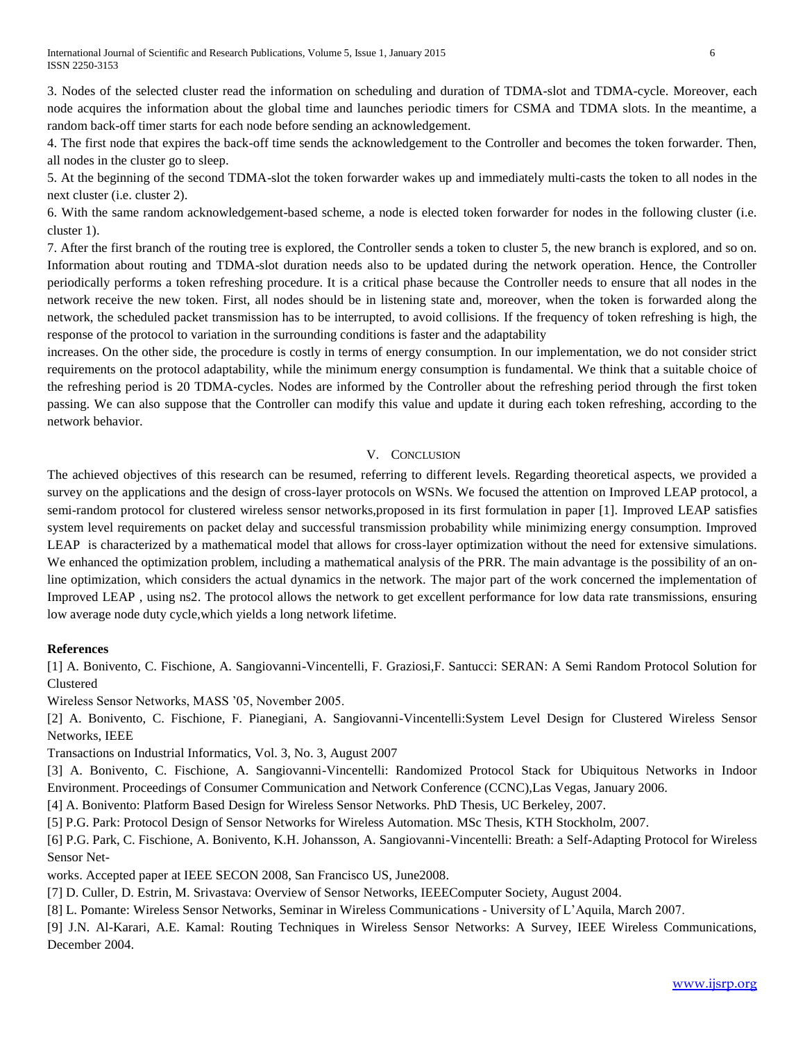International Journal of Scientific and Research Publications, Volume 5, Issue 1, January 2015 6 ISSN 2250-3153

3. Nodes of the selected cluster read the information on scheduling and duration of TDMA-slot and TDMA-cycle. Moreover, each node acquires the information about the global time and launches periodic timers for CSMA and TDMA slots. In the meantime, a random back-off timer starts for each node before sending an acknowledgement.

4. The first node that expires the back-off time sends the acknowledgement to the Controller and becomes the token forwarder. Then, all nodes in the cluster go to sleep.

5. At the beginning of the second TDMA-slot the token forwarder wakes up and immediately multi-casts the token to all nodes in the next cluster (i.e. cluster 2).

6. With the same random acknowledgement-based scheme, a node is elected token forwarder for nodes in the following cluster (i.e. cluster 1).

7. After the first branch of the routing tree is explored, the Controller sends a token to cluster 5, the new branch is explored, and so on. Information about routing and TDMA-slot duration needs also to be updated during the network operation. Hence, the Controller periodically performs a token refreshing procedure. It is a critical phase because the Controller needs to ensure that all nodes in the network receive the new token. First, all nodes should be in listening state and, moreover, when the token is forwarded along the network, the scheduled packet transmission has to be interrupted, to avoid collisions. If the frequency of token refreshing is high, the response of the protocol to variation in the surrounding conditions is faster and the adaptability

increases. On the other side, the procedure is costly in terms of energy consumption. In our implementation, we do not consider strict requirements on the protocol adaptability, while the minimum energy consumption is fundamental. We think that a suitable choice of the refreshing period is 20 TDMA-cycles. Nodes are informed by the Controller about the refreshing period through the first token passing. We can also suppose that the Controller can modify this value and update it during each token refreshing, according to the network behavior.

## V. CONCLUSION

The achieved objectives of this research can be resumed, referring to different levels. Regarding theoretical aspects, we provided a survey on the applications and the design of cross-layer protocols on WSNs. We focused the attention on Improved LEAP protocol, a semi-random protocol for clustered wireless sensor networks,proposed in its first formulation in paper [1]. Improved LEAP satisfies system level requirements on packet delay and successful transmission probability while minimizing energy consumption. Improved LEAP is characterized by a mathematical model that allows for cross-layer optimization without the need for extensive simulations. We enhanced the optimization problem, including a mathematical analysis of the PRR. The main advantage is the possibility of an online optimization, which considers the actual dynamics in the network. The major part of the work concerned the implementation of Improved LEAP , using ns2. The protocol allows the network to get excellent performance for low data rate transmissions, ensuring low average node duty cycle,which yields a long network lifetime.

#### **References**

[1] A. Bonivento, C. Fischione, A. Sangiovanni-Vincentelli, F. Graziosi,F. Santucci: SERAN: A Semi Random Protocol Solution for Clustered

Wireless Sensor Networks, MASS '05, November 2005.

[2] A. Bonivento, C. Fischione, F. Pianegiani, A. Sangiovanni-Vincentelli:System Level Design for Clustered Wireless Sensor Networks, IEEE

Transactions on Industrial Informatics, Vol. 3, No. 3, August 2007

[3] A. Bonivento, C. Fischione, A. Sangiovanni-Vincentelli: Randomized Protocol Stack for Ubiquitous Networks in Indoor Environment. Proceedings of Consumer Communication and Network Conference (CCNC),Las Vegas, January 2006.

[4] A. Bonivento: Platform Based Design for Wireless Sensor Networks. PhD Thesis, UC Berkeley, 2007.

[5] P.G. Park: Protocol Design of Sensor Networks for Wireless Automation. MSc Thesis, KTH Stockholm, 2007.

[6] P.G. Park, C. Fischione, A. Bonivento, K.H. Johansson, A. Sangiovanni-Vincentelli: Breath: a Self-Adapting Protocol for Wireless Sensor Net-

works. Accepted paper at IEEE SECON 2008, San Francisco US, June2008.

[7] D. Culler, D. Estrin, M. Srivastava: Overview of Sensor Networks, IEEEComputer Society, August 2004.

[8] L. Pomante: Wireless Sensor Networks, Seminar in Wireless Communications - University of L'Aquila, March 2007.

[9] J.N. Al-Karari, A.E. Kamal: Routing Techniques in Wireless Sensor Networks: A Survey, IEEE Wireless Communications, December 2004.